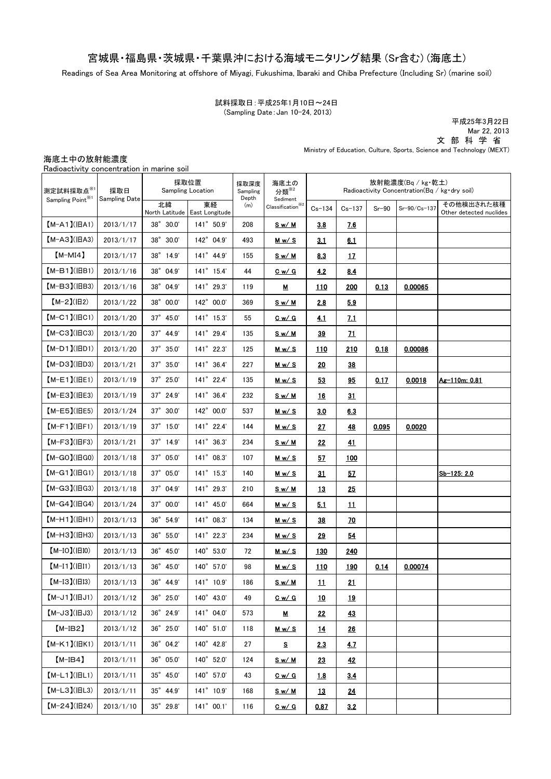## 宮城県・福島県・茨城県・千葉県沖における海域モニタリング結果 (Sr含む) (海底土)

Readings of Sea Area Monitoring at offshore of Miyagi, Fukushima, Ibaraki and Chiba Prefecture (Including Sr) (marine soil)

試料採取日:平成25年1月10日~24日 (Sampling Date:Jan 10-24, 2013)

平成25年3月22日 Mar 22, 2013 文 部 科 学 省

Ministry of Education, Culture, Sports, Science and Technology (MEXT)

海底土中の放射能濃度

|  | Radioactivity concentration in marine soil |  |  |
|--|--------------------------------------------|--|--|
|  |                                            |  |  |

| 測定試料採取点 <sup>※1</sup> | 採取日<br>Sampling Date | 採取位置<br><b>Sampling Location</b> |                                     | 採取深度<br>Sampling | 海底土の<br>分類 <sup>※2</sup>                                                         | 放射能濃度(Bq/kg・乾土)<br>Radioactivity Concentration( $Bq / kg$ dry soil) |             |         |              |                                       |
|-----------------------|----------------------|----------------------------------|-------------------------------------|------------------|----------------------------------------------------------------------------------|---------------------------------------------------------------------|-------------|---------|--------------|---------------------------------------|
| Sampling Point*       |                      | 北緯                               | 東経<br>North Latitude East Longitude | Depth<br>(m)     | Sediment<br>$\textbf{Classification}^{\textcolor{red}{\textcircled{\tiny \#2}}}$ | $Cs - 134$                                                          | $Cs - 137$  | $Sr-90$ | Sr-90/Cs-137 | その他検出された核種<br>Other detected nuclides |
| $[M-A1](HA1)$         | 2013/1/17            | $38^{\circ}$ $30.0'$             | $141^{\circ}$ 50.9'                 | 208              | <u>Sw/M</u>                                                                      | 3.8                                                                 | <u>7.6</u>  |         |              |                                       |
| $[M-A3](HA3)$         | 2013/1/17            | 38° 30.0'                        | 142° 04.9'                          | 493              | <u>Mw/S</u>                                                                      | 3.1                                                                 | 6.1         |         |              |                                       |
| $[M-MI4]$             | 2013/1/17            | 38° 14.9'                        | $141^{\circ}$ 44.9'                 | 155              | <u>Sw/M</u>                                                                      | 8.3                                                                 | 17          |         |              |                                       |
| $(M-B1)(IBB1)$        | 2013/1/16            | 38° 04.9'                        | 141° 15.4'                          | 44               | <u>Cw/G</u>                                                                      | 4.2                                                                 | 8.4         |         |              |                                       |
| $(M-B3)(HB3)$         | 2013/1/16            | $38^{\circ}$ 04.9'               | 141° 29.3'                          | 119              | <u>м</u>                                                                         | <u> 110</u>                                                         | 200         | 0.13    | 0.00065      |                                       |
| $[M-2](H2)$           | 2013/1/22            | 38° 00.0'                        | 142° 00.0'                          | 369              | <u>Sw/M</u>                                                                      | 2.8                                                                 | 5.9         |         |              |                                       |
| $[M-C1]$ ( $ HC1$ )   | 2013/1/20            | 37° 45.0'                        | 141° 15.3'                          | 55               | $C_w/G$                                                                          | 4.1                                                                 | <u>7.1</u>  |         |              |                                       |
| $[M-C3]$ ( $ HC3$ )   | 2013/1/20            | $37^{\circ}$ 44.9'               | 141° 29.4'                          | 135              | <u>Sw/M</u>                                                                      | 39                                                                  | 21          |         |              |                                       |
| $(M-D1)(HD1)$         | 2013/1/20            | $37^{\circ}$ $35.0'$             | $141^{\circ}$ 22.3'                 | 125              | <u>Mw/S</u>                                                                      | 110                                                                 | <b>210</b>  | 0.18    | 0.00086      |                                       |
| $(M-D3)(HD3)$         | 2013/1/21            | $37^{\circ}$ $35.0'$             | 141° 36.4'                          | 227              | <u>Mw/S</u>                                                                      | 20                                                                  | 38          |         |              |                                       |
| $[M-E1]( HE1)$        | 2013/1/19            | $37^{\circ}$ 25.0                | 141° 22.4'                          | 135              | Mw/S                                                                             | 53                                                                  | 95          | 0.17    | 0.0018       | Ag-110m: 0.81                         |
| $[M-E3]$ ( $ HE3$ )   | 2013/1/19            | 37° 24.9'                        | 141° 36.4'                          | 232              | Sw/M                                                                             | <u>16</u>                                                           | 31          |         |              |                                       |
| $[M-E5]$ ( $ HE5$ )   | 2013/1/24            | $37^\circ$ $30.0'$               | 142° 00.0'                          | 537              | <u>Mw/S</u>                                                                      | 3.0                                                                 | 6.3         |         |              |                                       |
| $(M-F1)(HF1)$         | 2013/1/19            | $37^\circ$ 15.0'                 | 141° 22.4'                          | 144              | <u>Mw/S</u>                                                                      | <u>27</u>                                                           | <u>48</u>   | 0.095   | 0.0020       |                                       |
| $[M-F3](HF3)$         | 2013/1/21            | $37^{\circ}$ 14.9'               | $141^{\circ}$ 36.3'                 | 234              | <u>Sw/M</u>                                                                      | 22                                                                  | 41          |         |              |                                       |
| $[M-GO](HGO)$         | 2013/1/18            | $37^{\circ}$ 05.0'               | 141° 08.3'                          | 107              | <u>Mw/S</u>                                                                      | 57                                                                  | 100         |         |              |                                       |
| $[M-G1]$ ( $ HG1$ )   | 2013/1/18            | 37° 05.0'                        | 141° 15.3'                          | 140              | <u>Mw/S</u>                                                                      | 31                                                                  | 57          |         |              | Sb-125: 2.0                           |
| $[M-G3](HG3)$         | 2013/1/18            | $37^{\circ}$ 04.9'               | 141° 29.3'                          | 210              | <u>Sw/M</u>                                                                      | <u>13</u>                                                           | 25          |         |              |                                       |
| 【M-G4】(旧G4)           | 2013/1/24            | $37^{\circ}$ 00.0'               | 141° 45.0'                          | 664              | <u>Mw/S</u>                                                                      | <u>5.1</u>                                                          | 11          |         |              |                                       |
| $(M-H1)(HH1)$         | 2013/1/13            | $36^{\circ}$ 54.9'               | $141^{\circ}$ 08.3'                 | 134              | <u>Mw/S</u>                                                                      | 38                                                                  | <u>70</u>   |         |              |                                       |
| $[M-H3](HH3)$         | 2013/1/13            | 36° 55.0'                        | 141° 22.3'                          | 234              | <u>Mw/S</u>                                                                      | 29                                                                  | 54          |         |              |                                       |
| $[M-IO]( HIO)$        | 2013/1/13            | 36° 45.0'                        | 140° 53.0'                          | 72               | <u>Mw/S</u>                                                                      | <u> 130</u>                                                         | <u> 240</u> |         |              |                                       |
| $[M-I1]( H1)$         | 2013/1/13            | 36° 45.0'                        | 140° 57.0'                          | 98               | <u>Mw/S</u>                                                                      | 110                                                                 | 190         | 0.14    | 0.00074      |                                       |
| $[M-I3](H13)$         | 2013/1/13            | $36^{\circ}$ 44.9'               | $141^{\circ}$ 10.9'                 | 186              | <u>Sw/M</u>                                                                      | $\overline{\mathbf{u}}$                                             | 21          |         |              |                                       |
| $[M-J1]$ ( $HJ1$ )    | 2013/1/12            | 36° 25.0'                        | 140° 43.0'                          | 49               | $C_w/G$                                                                          | <u>10</u>                                                           | <u>19</u>   |         |              |                                       |
| $[M-J3](HJ3)$         | 2013/1/12            | $36^{\circ}$ 24.9'               | 141° 04.0'                          | 573              | <u>м</u>                                                                         | 22                                                                  | 43          |         |              |                                       |
| $[M-IB2]$             | 2013/1/12            | 36° 25.0'                        | 140° 51.0'                          | 118              | <u>Mw/S</u>                                                                      | <u>14</u>                                                           | 26          |         |              |                                       |
| $[M-K1](HK1)$         | 2013/1/11            | $36^{\circ}$ 04.2'               | 140° 42.8'                          | 27               | s                                                                                | 2.3                                                                 | <u>4.7</u>  |         |              |                                       |
| $[M-IB4]$             | 2013/1/11            | $36^{\circ}$ 05.0'               | 140° 52.0'                          | 124              | <u>Sw/M</u>                                                                      | <u>23</u>                                                           | <u>42</u>   |         |              |                                       |
| $[M-L1]( HL1)$        | 2013/1/11            | $35^{\circ}$ 45.0'               | 140° 57.0'                          | 43               | <u>Cw/G</u>                                                                      | 1.8                                                                 | <u>3.4</u>  |         |              |                                       |
| $[M-L3](HL3)$         | 2013/1/11            | 35° 44.9'                        | 141° 10.9'                          | 168              | <u>Sw/M</u>                                                                      | <u>13</u>                                                           | <u>24</u>   |         |              |                                       |
| $[M-24](H24)$         | 2013/1/10            | $35^\circ$ 29.8'                 | $141^{\circ}$ 00.1'                 | 116              | <u>Cw/G</u>                                                                      | <u>0.87</u>                                                         | 3.2         |         |              |                                       |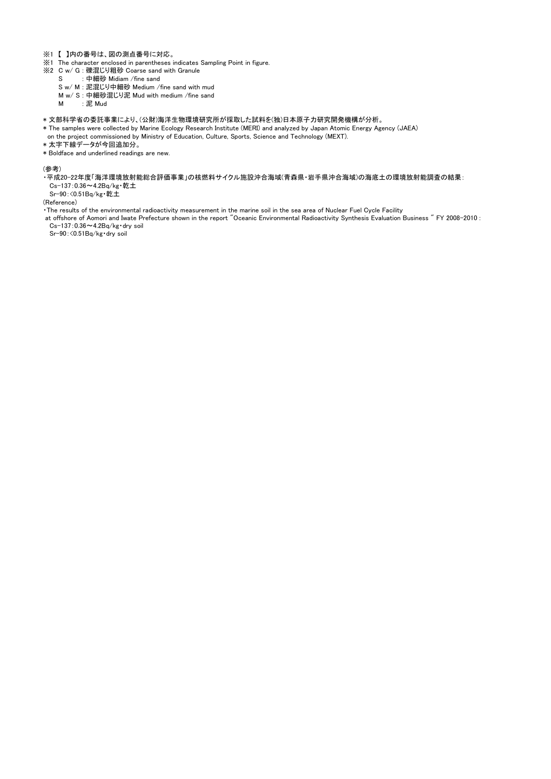- ※1 【 】内の番号は、図の測点番号に対応。
- ※1 The character enclosed in parentheses indicates Sampling Point in figure.
- ※2 C w/ G : 礫混じり粗砂 Coarse sand with Granule
	- ・・・<br>・中細砂 Midiam /fine sand
	- S w/ M : 泥混じり中細砂 Medium /fine sand with mud
	- M w/ S : 中細砂混じり泥 Mud with medium /fine sand
	- M : 泥 Mud
- \* 文部科学省の委託事業により、(公財)海洋生物環境研究所が採取した試料を(独)日本原子力研究開発機構が分析。
- \* The samples were collected by Marine Ecology Research Institute (MERI) and analyzed by Japan Atomic Energy Agency (JAEA)
- on the project commissioned by Ministry of Education, Culture, Sports, Science and Technology (MEXT).
- \* 太字下線データが今回追加分。
- \* Boldface and underlined readings are new.

(参考)

- ・平成20-22年度「海洋環境放射能総合評価事業」の核燃料サイクル施設沖合海域(青森県・岩手県沖合海域)の海底土の環境放射能調査の結果:
- Cs-137:0.36~4.2Bq/kg・乾土
- Sr-90:<0.51Bq/kg・乾土

(Reference)

- ・The results of the environmental radioactivity measurement in the marine soil in the sea area of Nuclear Fuel Cycle Facility
- at offshore of Aomori and Iwate Prefecture shown in the report "Oceanic Environmental Radioactivity Synthesis Evaluation Business " FY 2008-2010 : Cs-137:0.36~4.2Bq/kg・dry soil

Sr-90:<0.51Bq/kg・dry soil